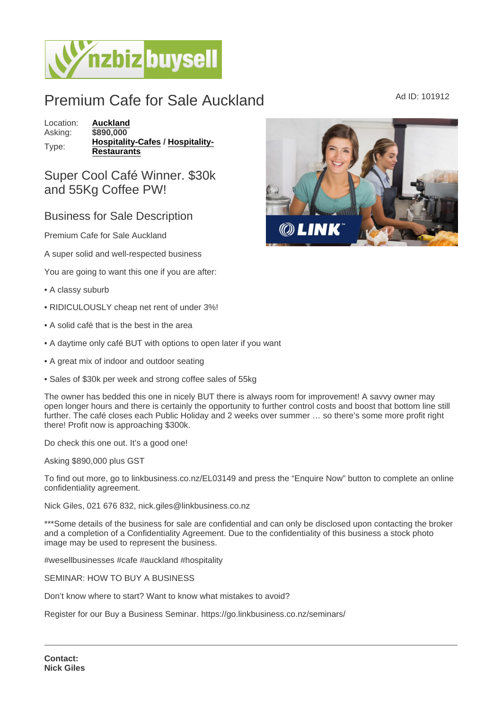## Premium Cafe for Sale Auckland Ad ID: 101912

Location: [Auckland](https://www.nzbizbuysell.co.nz/businesses-for-sale/location/Auckland) Asking: \$890,000 Type: [Hospitality-Cafes](https://www.nzbizbuysell.co.nz/businesses-for-sale/Cafes/New-Zealand) / [Hospitality-](https://www.nzbizbuysell.co.nz/businesses-for-sale/Restaurants/New-Zealand)[Restaurants](https://www.nzbizbuysell.co.nz/businesses-for-sale/Restaurants/New-Zealand)

## Super Cool Café Winner. \$30k and 55Kg Coffee PW!

## Business for Sale Description

Premium Cafe for Sale Auckland

A super solid and well-respected business

You are going to want this one if you are after:

- A classy suburb
- RIDICULOUSLY cheap net rent of under 3%!
- A solid café that is the best in the area
- A daytime only café BUT with options to open later if you want
- A great mix of indoor and outdoor seating
- Sales of \$30k per week and strong coffee sales of 55kg

The owner has bedded this one in nicely BUT there is always room for improvement! A savvy owner may open longer hours and there is certainly the opportunity to further control costs and boost that bottom line still further. The café closes each Public Holiday and 2 weeks over summer … so there's some more profit right there! Profit now is approaching \$300k.

Do check this one out. It's a good one!

Asking \$890,000 plus GST

To find out more, go to linkbusiness.co.nz/EL03149 and press the "Enquire Now" button to complete an online confidentiality agreement.

Nick Giles, 021 676 832, nick.giles@linkbusiness.co.nz

\*\*\*Some details of the business for sale are confidential and can only be disclosed upon contacting the broker and a completion of a Confidentiality Agreement. Due to the confidentiality of this business a stock photo image may be used to represent the business.

#wesellbusinesses #cafe #auckland #hospitality

SEMINAR: HOW TO BUY A BUSINESS

Don't know where to start? Want to know what mistakes to avoid?

Register for our Buy a Business Seminar. https://go.linkbusiness.co.nz/seminars/